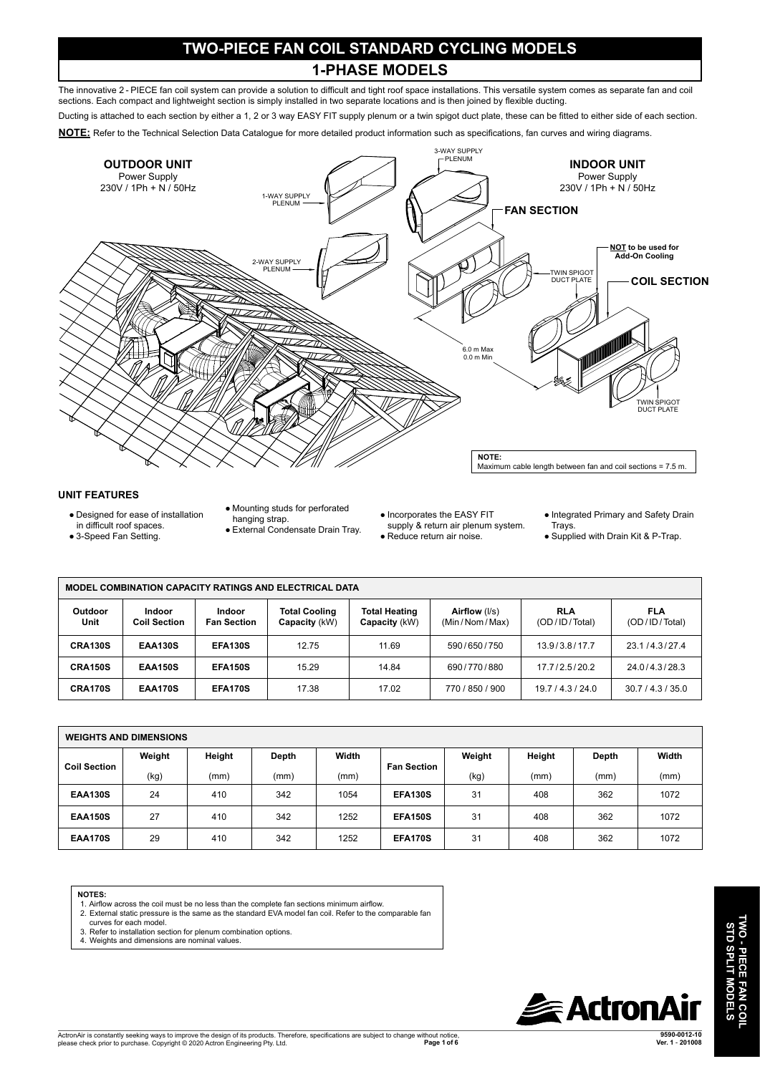## **TWO-PIECE FAN COIL STANDARD CYCLING MODELS 1-PHASE MODELS**

The innovative 2 - PIECE fan coil system can provide a solution to difficult and tight roof space installations. This versatile system comes as separate fan and coil sections. Each compact and lightweight section is simply installed in two separate locations and is then joined by flexible ducting.

Ducting is attached to each section by either a 1, 2 or 3 way EASY FIT supply plenum or a twin spigot duct plate, these can be fitted to either side of each section.

**NOTE:** Refer to the Technical Selection Data Catalogue for more detailed product information such as specifications, fan curves and wiring diagrams.



## **UNIT FEATURES**

- Designed for ease of installation
- in difficult roof spaces.
- 3-Speed Fan Setting.
- Mounting studs for perforated
- hanging strap. ● External Condensate Drain Tray.
	-
- Incorporates the EASY FIT supply & return air plenum system.
- Reduce return air noise.
- Integrated Primary and Safety Drain Trays.
- Supplied with Drain Kit & P-Trap.

| <b>MODEL COMBINATION CAPACITY RATINGS AND ELECTRICAL DATA</b> |                                      |                              |                                       |                                       |                                |                             |                             |  |  |
|---------------------------------------------------------------|--------------------------------------|------------------------------|---------------------------------------|---------------------------------------|--------------------------------|-----------------------------|-----------------------------|--|--|
| <b>Outdoor</b><br>Unit                                        | <b>Indoor</b><br><b>Coil Section</b> | Indoor<br><b>Fan Section</b> | <b>Total Cooling</b><br>Capacity (kW) | <b>Total Heating</b><br>Capacity (kW) | Airflow (I/s)<br>(Min/Nom/Max) | <b>RLA</b><br>(OD/ID/Total) | <b>FLA</b><br>(OD/ID/Total) |  |  |
| CRA130S                                                       | <b>EAA130S</b>                       | <b>EFA130S</b>               | 12.75                                 | 11.69                                 | 590/650/750                    | 13.9/3.8/17.7               | 23.1/4.3/27.4               |  |  |
| <b>CRA150S</b>                                                | <b>EAA150S</b>                       | <b>EFA150S</b>               | 15.29                                 | 14.84                                 | 690/770/880                    | 17.7/2.5/20.2               | 24.0/4.3/28.3               |  |  |
| CRA170S                                                       | <b>EAA170S</b>                       | <b>EFA170S</b>               | 17.38                                 | 17.02                                 | 770 / 850 / 900                | 19.7/4.3/24.0               | 30.7 / 4.3 / 35.0           |  |  |

| <b>WEIGHTS AND DIMENSIONS</b> |        |        |       |       |                    |        |        |       |       |
|-------------------------------|--------|--------|-------|-------|--------------------|--------|--------|-------|-------|
| <b>Coil Section</b>           | Weight | Height | Depth | Width | <b>Fan Section</b> | Weight | Height | Depth | Width |
|                               | (kg)   | (mm)   | (mm)  | (mm)  |                    | (kg)   | (mm)   | (mm)  | (mm)  |
| <b>EAA130S</b>                | 24     | 410    | 342   | 1054  | <b>EFA130S</b>     | 31     | 408    | 362   | 1072  |
| <b>EAA150S</b>                | 27     | 410    | 342   | 1252  | <b>EFA150S</b>     | 31     | 408    | 362   | 1072  |
| <b>EAA170S</b>                | 29     | 410    | 342   | 1252  | <b>EFA170S</b>     | 31     | 408    | 362   | 1072  |

**NOTES:**

- 1. Airflow across the coil must be no less than the complete fan sections minimum airflow.
- 2. External static pressure is the same as the standard EVA model fan coil. Refer to the comparable fan curves for each model.
- 3. Refer to installation section for plenum combination options.
- 4. Weights and dimensions are nominal values.



**TWO - PIECE FAN COIL STD SPLIT MODELS**

**TWO - PIECE FAN COIL<br>STD SPLIT MODELS**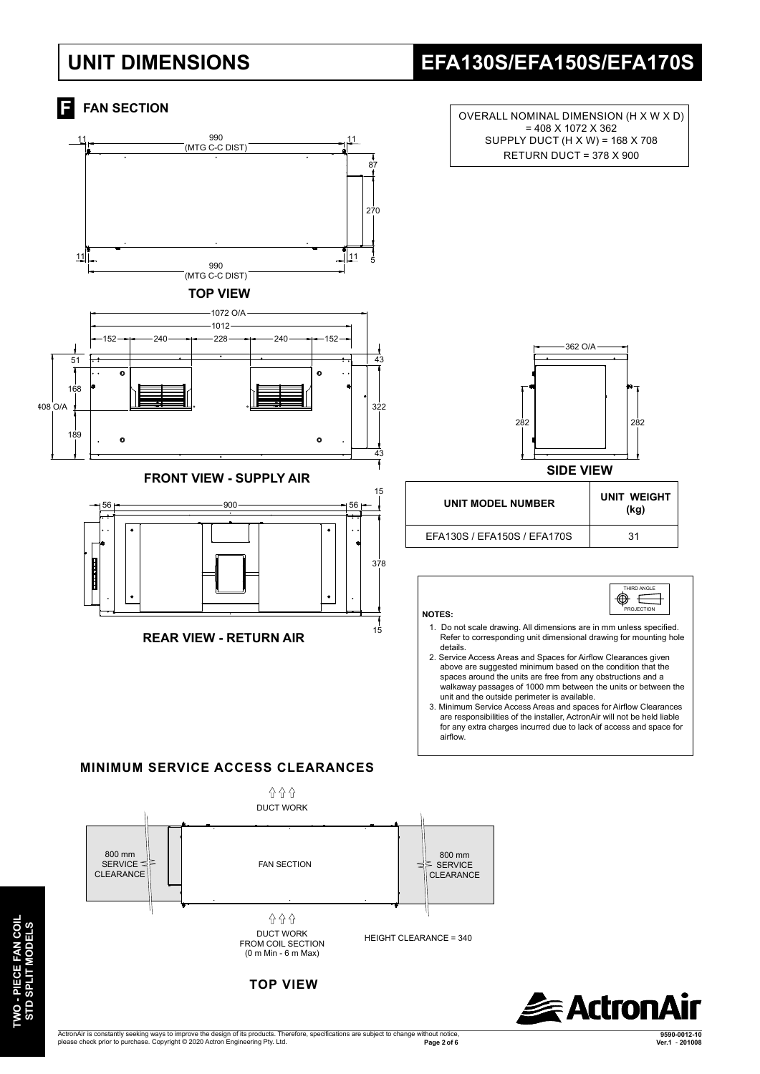# **UNIT DIMENSIONS EFA130S/EFA150S/EFA170S**

#### **FAN SECTION** OVERALL NOMINAL DIMENSION (H X W X D) = 408 X 1072 X 362 SUPPLY DUCT (H X W) = 168 X 708 11 990<br> **A**<br>
(MTG C-C DIST) 11 RETURN DUCT = 378 X 900 87 270 11 11 990 (MTG C-C DIST) **TOP VIEW** 1072 O/A 1012 152 <del>- 1 - 200 - 1 - 228 - 1 -</del> 240 <del>- 1 -</del> 152 362 O/A 51  $43$  $\ddot{\mathbf{c}}$ 168  $108$   $0/4$ າວ່າ 282 282 189  $\circ$  $\ddot{\circ}$  $\overline{4}$ **SIDE VIEWFRONT VIEW - SUPPLY AIR**  15 **UNIT MODEL NUMBER UNIT WEIGHT**  $56$   $\sim$   $\sim$  56 **(kg)** EFA130S / EFA150S / EFA170S 31 378 RD ANGLE ◉ € 3 PROJECTION **NOTES:**  1. Do not scale drawing. All dimensions are in mm unless specified. 15 **REAR VIEW - RETURN AIR** Refer to corresponding unit dimensional drawing for mounting hole details. 2. Service Access Areas and Spaces for Airflow Clearances given above are suggested minimum based on the condition that the spaces around the units are free from any obstructions and a walkaway passages of 1000 mm between the units or between the unit and the outside perimeter is available. 3. Minimum Service Access Areas and spaces for Airflow Clearances are responsibilities of the installer, ActronAir will not be held liable for any extra charges incurred due to lack of access and space for airflow.  **MINIMUM SERVICE ACCESS CLEARANCES** 습 습 습 DUCT WORK 800 mm 800 mm SERVICE<sup> $\leq$ </sup> FAN SECTION **SERVICE** CLEARANCE **CLEARANCE** 습 습 습 DUCT WORK HEIGHT CLEARANCE = 340 FROM COIL SECTION (0 m Min - 6 m Max)



**TOP VIEW**

**TWO - PIECE FAN COIL STD SPLIT MODELS**

TWO - PIECE FAN COIL<br>STD SPLIT MODELS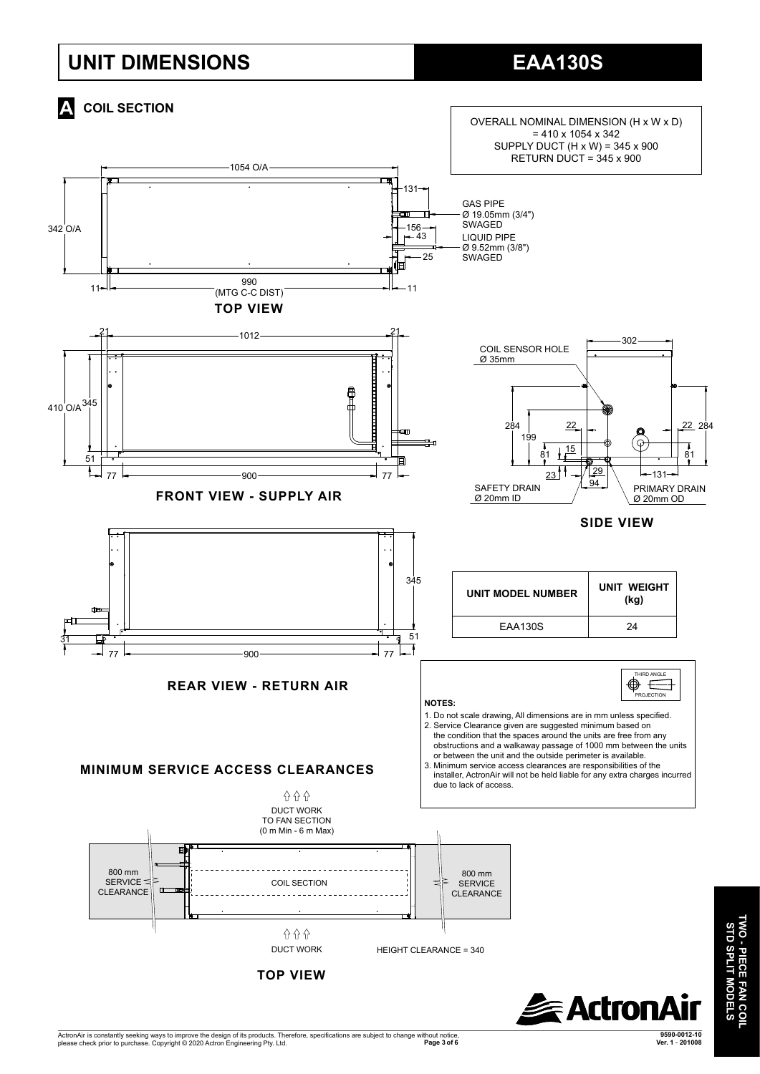# **UNIT DIMENSIONS**



ActronAir is constantly seeking ways to improve the design of its products. Therefore, specifications are subject to change without notice,<br>Page 3 of 6 أو Page 3 of 6 **9590-0012-10 Page 3 of 6****Ver. 1** - **201008**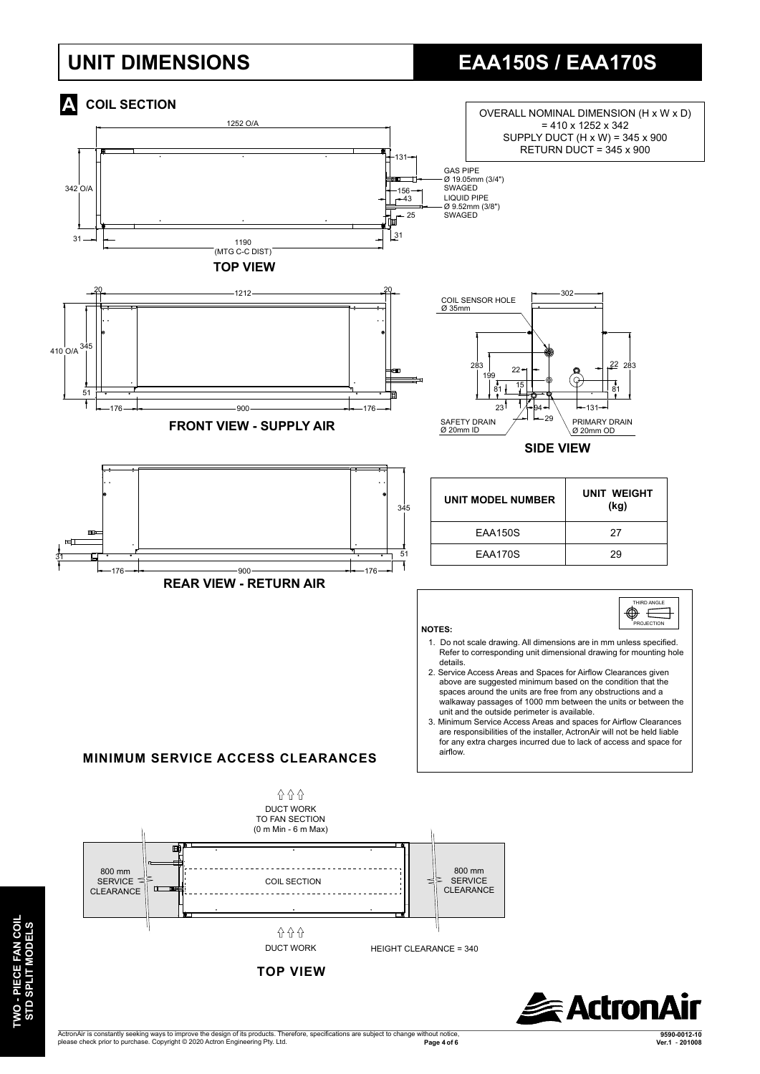# **UNIT DIMENSIONS EAA150S / EAA170S**



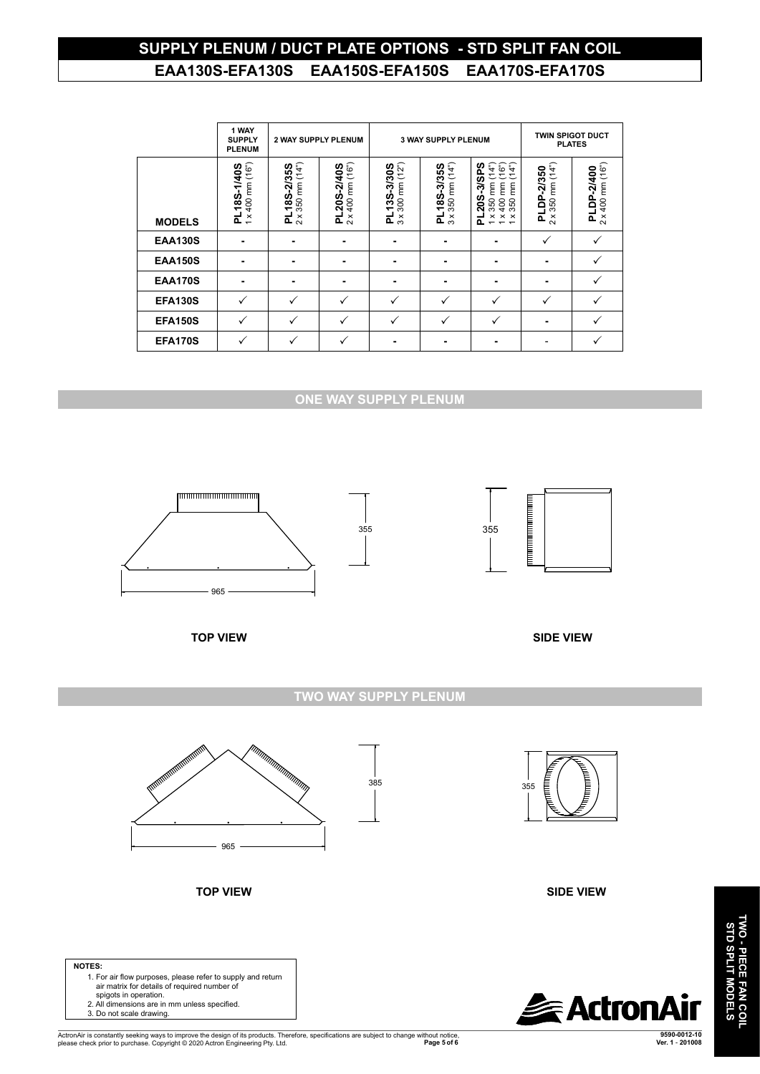## **SUPPLY PLENUM / DUCT PLATE OPTIONS - STD SPLIT FAN COIL EAA130S-EFA130S EAA150S-EFA150S EAA170S-EFA170S**

|                | 1 WAY<br><b>SUPPLY</b><br><b>PLENUM</b>     | <b>2 WAY SUPPLY PLENUM</b>               |                                                    |                                              | <b>3 WAY SUPPLY PLENUM</b>                      | <b>TWIN SPIGOT DUCT</b><br><b>PLATES</b>                                                                                                           |                                                |                                         |
|----------------|---------------------------------------------|------------------------------------------|----------------------------------------------------|----------------------------------------------|-------------------------------------------------|----------------------------------------------------------------------------------------------------------------------------------------------------|------------------------------------------------|-----------------------------------------|
| <b>MODELS</b>  | $1 \times 400$ mm $(16")$<br>185-1/405<br>군 | $2 \times 350$ mm $(14")$<br>PL18S-2/35S | $x400$ mm $(16n)$<br>$-205 - 2/405$<br>ᇎ<br>$\sim$ | 300 mm (12")<br>13S-3/30S<br>ᇍ<br>$3 \times$ | 350 mm (14")<br>18S-3/35S<br>ᇍ<br>$\frac{x}{3}$ | : 350 mm (14")<br>: 400 mm (16")<br>: 350 mm (14")<br>20S-3/SPS<br>$\times$<br>$\pmb{\times}$<br>$\times$<br>൨<br>$\overline{ }$<br>$\overline{ }$ | mm(14")<br>DP-2/350<br>350<br>ᇍ<br>×<br>$\sim$ | $2 \times 400$ mm $(16")$<br>PLDP-2/400 |
| <b>EAA130S</b> | ۰                                           | ۰                                        |                                                    | ۰                                            | ۰                                               | ۰                                                                                                                                                  | $\checkmark$                                   | $\checkmark$                            |
| <b>EAA150S</b> |                                             |                                          |                                                    |                                              |                                                 |                                                                                                                                                    |                                                |                                         |
| <b>EAA170S</b> | ۰                                           |                                          |                                                    |                                              | ۰                                               | ۰                                                                                                                                                  |                                                |                                         |
| <b>EFA130S</b> | ✓                                           |                                          | ✓                                                  |                                              | $\checkmark$                                    | ✓                                                                                                                                                  | ✓                                              | ✓                                       |
| <b>EFA150S</b> | $\checkmark$                                | $\checkmark$                             | ✓                                                  | $\checkmark$                                 | $\checkmark$                                    | $\checkmark$                                                                                                                                       |                                                | $\checkmark$                            |
| <b>EFA170S</b> | $\checkmark$                                | $\checkmark$                             | $\checkmark$                                       |                                              | ۰                                               |                                                                                                                                                    |                                                |                                         |

#### **ONE WAY SUPPLY PLENUM** 965





**TWO WAY SUPPLY PLENUM**

385



**TOP VIEW**



**SIDE VIEW**



## **NOTES:**

- 1. For air flow purposes, please refer to supply and return air matrix for details of required number of spigots in operation. 2. All dimensions are in mm unless specified. 3. Do not scale drawing.
	-

ActronAir is constantly seeking ways to improve the design of its products. Therefore, specifications are subject to change without notice,<br>Page 5 of 6 فارو Page 5 of 6 **9590-0012-10 Page 5 of 6****Ver. 1** - **201008**  50